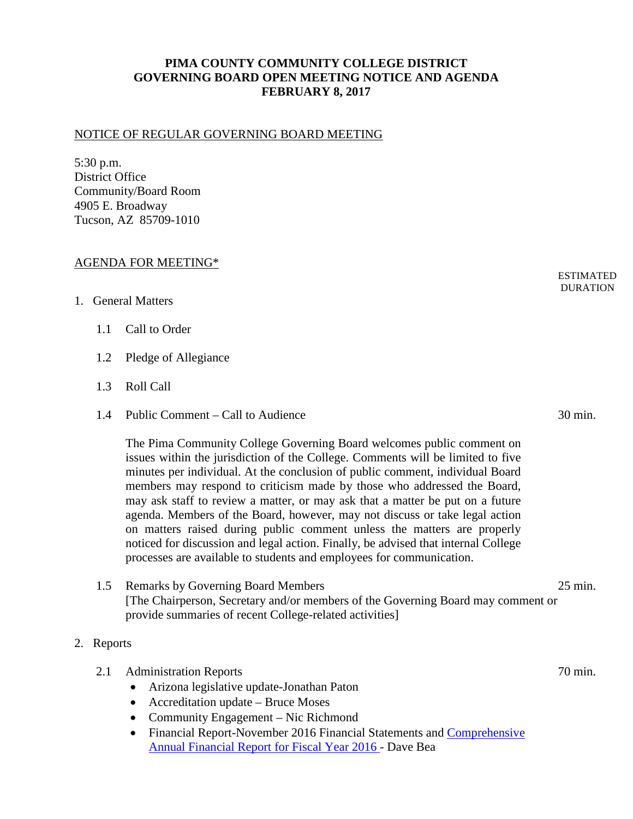## **PIMA COUNTY COMMUNITY COLLEGE DISTRICT GOVERNING BOARD OPEN MEETING NOTICE AND AGENDA FEBRUARY 8, 2017**

## NOTICE OF REGULAR GOVERNING BOARD MEETING

5:30 p.m. District Office Community/Board Room 4905 E. Broadway Tucson, AZ 85709-1010

## AGENDA FOR MEETING\*

## 1. General Matters

- 1.1 Call to Order
- 1.2 Pledge of Allegiance
- 1.3 Roll Call
- 1.4 Public Comment Call to Audience 30 min.

The Pima Community College Governing Board welcomes public comment on issues within the jurisdiction of the College. Comments will be limited to five minutes per individual. At the conclusion of public comment, individual Board members may respond to criticism made by those who addressed the Board, may ask staff to review a matter, or may ask that a matter be put on a future agenda. Members of the Board, however, may not discuss or take legal action on matters raised during public comment unless the matters are properly noticed for discussion and legal action. Finally, be advised that internal College processes are available to students and employees for communication.

- 1.5 Remarks by Governing Board Members 25 min. [The Chairperson, Secretary and/or members of the Governing Board may comment or provide summaries of recent College-related activities]
- 2. Reports
	- 2.1 Administration Reports 70 min.
		- Arizona legislative update-Jonathan Paton
		- Accreditation update Bruce Moses
		- Community Engagement Nic Richmond
		- Financial Report-November 2016 Financial Statements and Comprehensive [Annual Financial Report for Fiscal Year 2016](https://www.pima.edu/about-pima/reports/finance-reports/docs-annual-financial/PCC-CAFR-FY2016.pdf) - Dave Bea

ESTIMATED **DURATION**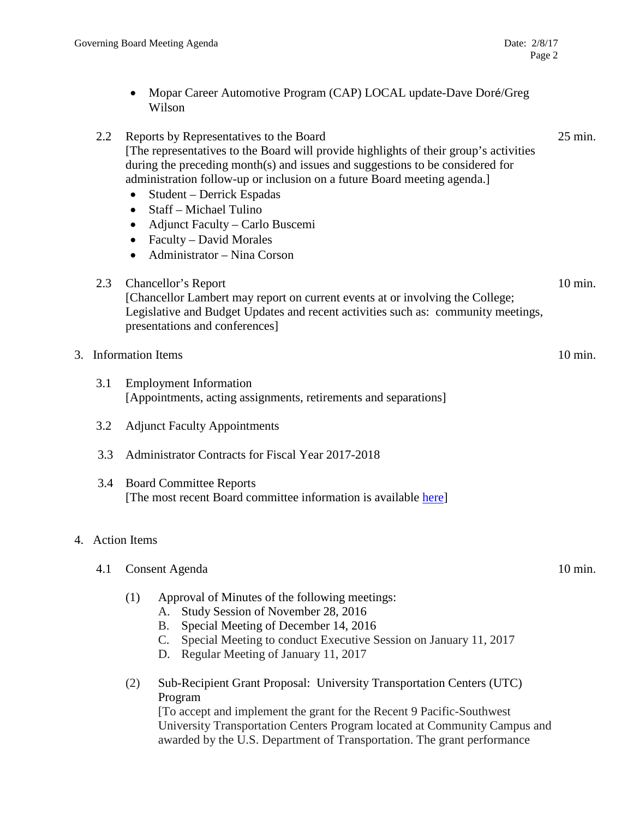• Mopar Career Automotive Program (CAP) LOCAL update-Dave Doré/Greg Wilson

|    | 2.2 | Reports by Representatives to the Board<br>[The representatives to the Board will provide highlights of their group's activities<br>during the preceding month(s) and issues and suggestions to be considered for<br>administration follow-up or inclusion on a future Board meeting agenda.]<br>Student – Derrick Espadas<br>$\bullet$<br>Staff – Michael Tulino<br>$\bullet$<br>Adjunct Faculty - Carlo Buscemi<br>$\bullet$<br>Faculty – David Morales<br>$\bullet$<br>Administrator - Nina Corson<br>$\bullet$ | 25 min. |
|----|-----|--------------------------------------------------------------------------------------------------------------------------------------------------------------------------------------------------------------------------------------------------------------------------------------------------------------------------------------------------------------------------------------------------------------------------------------------------------------------------------------------------------------------|---------|
|    | 2.3 | Chancellor's Report<br>[Chancellor Lambert may report on current events at or involving the College;<br>Legislative and Budget Updates and recent activities such as: community meetings,<br>presentations and conferences]                                                                                                                                                                                                                                                                                        | 10 min. |
| 3. |     | <b>Information Items</b>                                                                                                                                                                                                                                                                                                                                                                                                                                                                                           | 10 min. |
|    | 3.1 | <b>Employment Information</b><br>[Appointments, acting assignments, retirements and separations]                                                                                                                                                                                                                                                                                                                                                                                                                   |         |
|    | 3.2 | <b>Adjunct Faculty Appointments</b>                                                                                                                                                                                                                                                                                                                                                                                                                                                                                |         |
|    | 3.3 | Administrator Contracts for Fiscal Year 2017-2018                                                                                                                                                                                                                                                                                                                                                                                                                                                                  |         |
|    | 3.4 | <b>Board Committee Reports</b><br>[The most recent Board committee information is available here]                                                                                                                                                                                                                                                                                                                                                                                                                  |         |
|    |     | 4. Action Items                                                                                                                                                                                                                                                                                                                                                                                                                                                                                                    |         |
|    | 4.1 | Consent Agenda                                                                                                                                                                                                                                                                                                                                                                                                                                                                                                     | 10 min. |
|    |     | (1)<br>Approval of Minutes of the following meetings:<br>Study Session of November 28, 2016<br>А.<br>Special Meeting of December 14, 2016<br>Β.<br>Special Meeting to conduct Executive Session on January 11, 2017<br>C.<br>Regular Meeting of January 11, 2017<br>D.                                                                                                                                                                                                                                             |         |
|    |     | Sub-Recipient Grant Proposal: University Transportation Centers (UTC)<br>(2)<br>Program<br>[To accept and implement the grant for the Recent 9 Pacific-Southwest]<br>University Transportation Centers Program located at Community Campus and<br>awarded by the U.S. Department of Transportation. The grant performance                                                                                                                                                                                          |         |